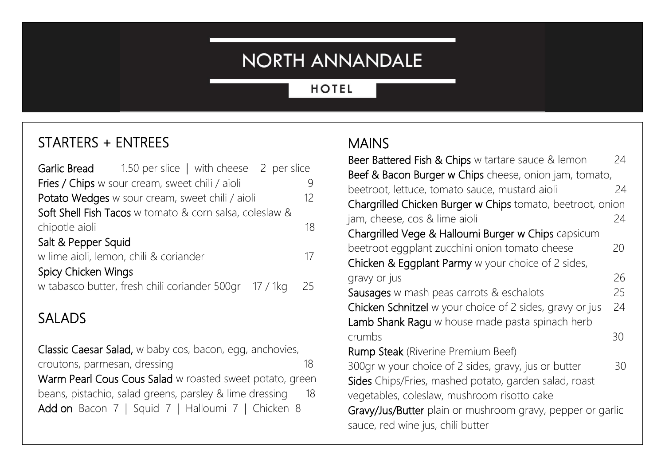## NORTH ANNANDALE

#### **HOTEL**

## STARTERS + ENTREES

|                                                         | <b>Garlic Bread</b> 1.50 per slice   with cheese 2 per slice |  |               |
|---------------------------------------------------------|--------------------------------------------------------------|--|---------------|
|                                                         | Fries / Chips w sour cream, sweet chili / aioli              |  |               |
| Potato Wedges w sour cream, sweet chili / aioli         |                                                              |  | 12            |
| Soft Shell Fish Tacos w tomato & corn salsa, coleslaw & |                                                              |  |               |
| chipotle aioli                                          |                                                              |  | 18            |
| Salt & Pepper Squid                                     |                                                              |  |               |
| w lime aioli, lemon, chili & coriander                  |                                                              |  | $\frac{1}{2}$ |
| Spicy Chicken Wings                                     |                                                              |  |               |
|                                                         | w tabasco butter, fresh chili coriander 500gr 17 / 1kg       |  | 25            |
|                                                         |                                                              |  |               |

### SALADS

Classic Caesar Salad, w baby cos, bacon, egg, anchovies, croutons, parmesan, dressing 18 Warm Pearl Cous Cous Salad w roasted sweet potato, green beans, pistachio, salad greens, parsley & lime dressing 18 Add on Bacon 7 | Squid 7 | Halloumi 7 | Chicken 8

#### MAINS

| Beer Battered Fish & Chips w tartare sauce & lemon         | 24 |  |  |
|------------------------------------------------------------|----|--|--|
| Beef & Bacon Burger w Chips cheese, onion jam, tomato,     |    |  |  |
| beetroot, lettuce, tomato sauce, mustard aioli             | 24 |  |  |
| Chargrilled Chicken Burger w Chips tomato, beetroot, onion |    |  |  |
| jam, cheese, cos & lime aioli                              | 24 |  |  |
| Chargrilled Vege & Halloumi Burger w Chips capsicum        |    |  |  |
| beetroot eggplant zucchini onion tomato cheese             | 20 |  |  |
| Chicken & Eggplant Parmy w your choice of 2 sides,         |    |  |  |
| gravy or jus                                               | 26 |  |  |
| Sausages w mash peas carrots & eschalots                   | 25 |  |  |
| Chicken Schnitzel w your choice of 2 sides, gravy or jus   | 24 |  |  |
| Lamb Shank Ragu w house made pasta spinach herb            |    |  |  |
| crumbs                                                     | 30 |  |  |
| Rump Steak (Riverine Premium Beef)                         |    |  |  |
| 300gr w your choice of 2 sides, gravy, jus or butter       | 30 |  |  |
| Sides Chips/Fries, mashed potato, garden salad, roast      |    |  |  |
| vegetables, coleslaw, mushroom risotto cake                |    |  |  |
| Gravy/Jus/Butter plain or mushroom gravy, pepper or garlic |    |  |  |
| sauce, red wine jus, chili butter                          |    |  |  |
|                                                            |    |  |  |